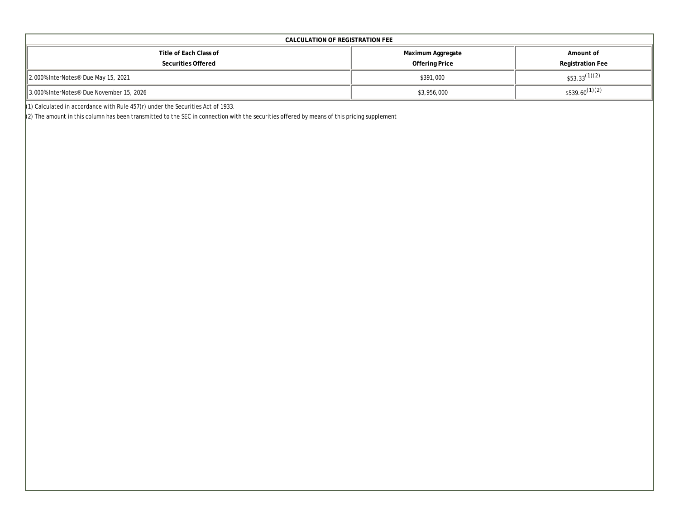| CALCULATION OF REGISTRATION FEE                      |                   |                    |  |  |  |  |  |  |  |  |
|------------------------------------------------------|-------------------|--------------------|--|--|--|--|--|--|--|--|
| Title of Each Class of                               | Maximum Aggregate | Amount of          |  |  |  |  |  |  |  |  |
| Securities Offered                                   | Offering Price    | Registration Fee   |  |  |  |  |  |  |  |  |
| 2.000% InterNotes <sup>®</sup> Due May 15, 2021      | \$391,000         | $$53.33^{(1)(2)}$  |  |  |  |  |  |  |  |  |
| 3.000% InterNotes <sup>®</sup> Due November 15, 2026 | \$3,956,000       | $$539.60^{(1)(2)}$ |  |  |  |  |  |  |  |  |

(1) Calculated in accordance with Rule  $457(r)$  under the Securities Act of 1933.

(2) The amount in this column has been transmitted to the SEC in connection with the securities offered by means of this pricing supplement